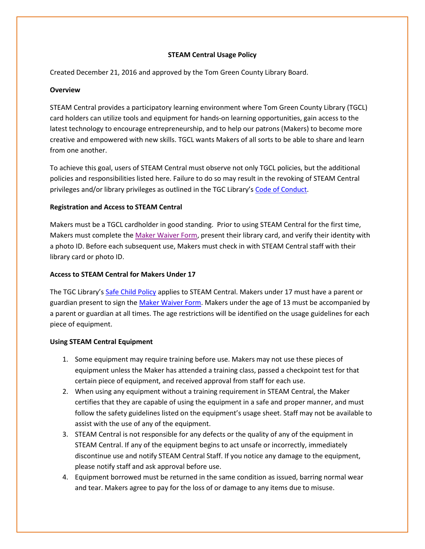# **STEAM Central Usage Policy**

Created December 21, 2016 and approved by the Tom Green County Library Board.

### **Overview**

STEAM Central provides a participatory learning environment where Tom Green County Library (TGCL) card holders can utilize tools and equipment for hands-on learning opportunities, gain access to the latest technology to encourage entrepreneurship, and to help our patrons (Makers) to become more creative and empowered with new skills. TGCL wants Makers of all sorts to be able to share and learn from one another.

To achieve this goal, users of STEAM Central must observe not only TGCL policies, but the additional policies and responsibilities listed here. Failure to do so may result in the revoking of STEAM Central privileges and/or library privileges as outlined in the TGC Library's [Code of Conduct.](http://www.librarysample.org/tgc/ckfinder/userfiles/files/Code%20of%20conduct%20policy_5_19_15.pdf)

# **Registration and Access to STEAM Central**

Makers must be a TGCL cardholder in good standing. Prior to using STEAM Central for the first time, Makers must complete the [Maker Waiver Form,](http://www.tgclibrary.com/ckfinder/userfiles/files/Steam%20Central%20Policies/ACCIDENT%20WAIVER%20AND%20RELEASE%20OF%20LIABILITY%20FORM.pdf) present their library card, and verify their identity with a photo ID. Before each subsequent use, Makers must check in with STEAM Central staff with their library card or photo ID.

## **Access to STEAM Central for Makers Under 17**

The TGC Library's Safe [Child Policy](http://www.tgclibrary.com/ckfinder/userfiles/files/Steam%20Central%20Policies/Safe%20Child%20Policy.pdf) applies to STEAM Central. Makers under 17 must have a parent or guardian present to sign the [Maker Waiver Form.](http://www.tgclibrary.com/ckfinder/userfiles/files/Steam%20Central%20Policies/ACCIDENT%20WAIVER%20AND%20RELEASE%20OF%20LIABILITY%20FORM.pdf) Makers under the age of 13 must be accompanied by a parent or guardian at all times. The age restrictions will be identified on the usage guidelines for each piece of equipment.

### **Using STEAM Central Equipment**

- 1. Some equipment may require training before use. Makers may not use these pieces of equipment unless the Maker has attended a training class, passed a checkpoint test for that certain piece of equipment, and received approval from staff for each use.
- 2. When using any equipment without a training requirement in STEAM Central, the Maker certifies that they are capable of using the equipment in a safe and proper manner, and must follow the safety guidelines listed on the equipment's usage sheet. Staff may not be available to assist with the use of any of the equipment.
- 3. STEAM Central is not responsible for any defects or the quality of any of the equipment in STEAM Central. If any of the equipment begins to act unsafe or incorrectly, immediately discontinue use and notify STEAM Central Staff. If you notice any damage to the equipment, please notify staff and ask approval before use.
- 4. Equipment borrowed must be returned in the same condition as issued, barring normal wear and tear. Makers agree to pay for the loss of or damage to any items due to misuse.